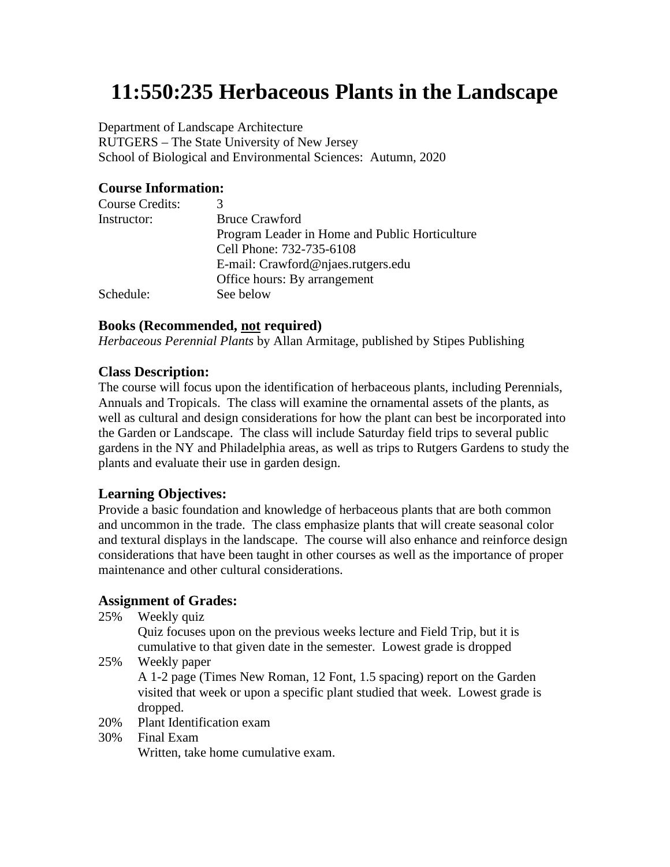# **11:550:235 Herbaceous Plants in the Landscape**

Department of Landscape Architecture RUTGERS – The State University of New Jersey School of Biological and Environmental Sciences: Autumn, 2020

## **Course Information:**

| 3                                              |
|------------------------------------------------|
| <b>Bruce Crawford</b>                          |
| Program Leader in Home and Public Horticulture |
| Cell Phone: 732-735-6108                       |
| E-mail: Crawford@njaes.rutgers.edu             |
| Office hours: By arrangement                   |
| See below                                      |
|                                                |

#### **Books (Recommended, not required)**

*Herbaceous Perennial Plants* by Allan Armitage, published by Stipes Publishing

## **Class Description:**

The course will focus upon the identification of herbaceous plants, including Perennials, Annuals and Tropicals. The class will examine the ornamental assets of the plants, as well as cultural and design considerations for how the plant can best be incorporated into the Garden or Landscape. The class will include Saturday field trips to several public gardens in the NY and Philadelphia areas, as well as trips to Rutgers Gardens to study the plants and evaluate their use in garden design.

# **Learning Objectives:**

Provide a basic foundation and knowledge of herbaceous plants that are both common and uncommon in the trade. The class emphasize plants that will create seasonal color and textural displays in the landscape. The course will also enhance and reinforce design considerations that have been taught in other courses as well as the importance of proper maintenance and other cultural considerations.

## **Assignment of Grades:**

25% Weekly quiz

Quiz focuses upon on the previous weeks lecture and Field Trip, but it is cumulative to that given date in the semester. Lowest grade is dropped

25% Weekly paper

A 1-2 page (Times New Roman, 12 Font, 1.5 spacing) report on the Garden visited that week or upon a specific plant studied that week. Lowest grade is dropped.

- 20% Plant Identification exam
- 30% Final Exam Written, take home cumulative exam.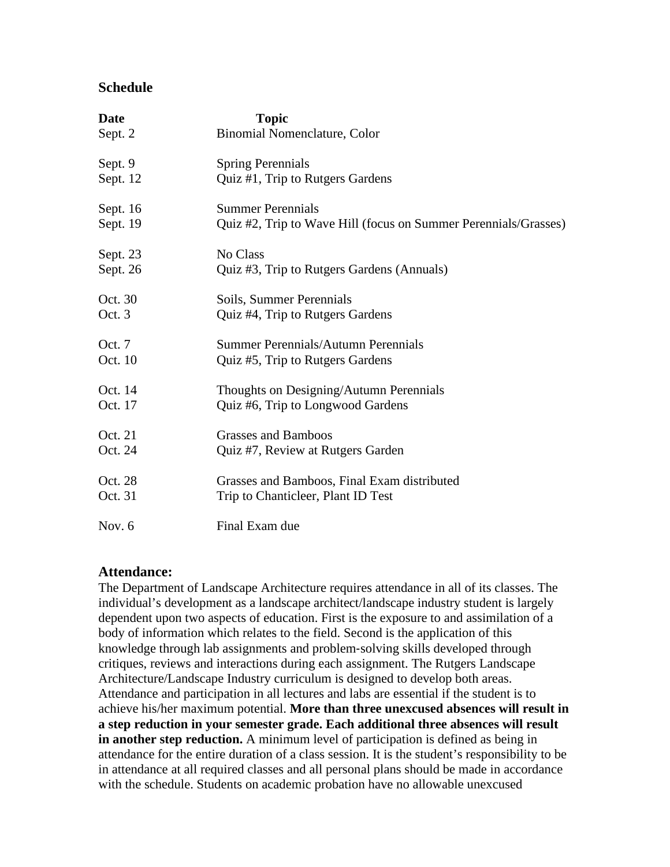## **Schedule**

| Date     | <b>Topic</b>                                                    |
|----------|-----------------------------------------------------------------|
| Sept. 2  | Binomial Nomenclature, Color                                    |
| Sept. 9  | <b>Spring Perennials</b>                                        |
| Sept. 12 | Quiz #1, Trip to Rutgers Gardens                                |
| Sept. 16 | <b>Summer Perennials</b>                                        |
| Sept. 19 | Quiz #2, Trip to Wave Hill (focus on Summer Perennials/Grasses) |
| Sept. 23 | No Class                                                        |
| Sept. 26 | Quiz #3, Trip to Rutgers Gardens (Annuals)                      |
| Oct. 30  | Soils, Summer Perennials                                        |
| Oct. 3   | Quiz #4, Trip to Rutgers Gardens                                |
| Oct. 7   | Summer Perennials/Autumn Perennials                             |
| Oct. 10  | Quiz #5, Trip to Rutgers Gardens                                |
| Oct. 14  | Thoughts on Designing/Autumn Perennials                         |
| Oct. 17  | Quiz #6, Trip to Longwood Gardens                               |
| Oct. 21  | <b>Grasses and Bamboos</b>                                      |
| Oct. 24  | Quiz #7, Review at Rutgers Garden                               |
| Oct. 28  | Grasses and Bamboos, Final Exam distributed                     |
| Oct. 31  | Trip to Chanticleer, Plant ID Test                              |
| Nov. $6$ | Final Exam due                                                  |

## **Attendance:**

The Department of Landscape Architecture requires attendance in all of its classes. The individual's development as a landscape architect/landscape industry student is largely dependent upon two aspects of education. First is the exposure to and assimilation of a body of information which relates to the field. Second is the application of this knowledge through lab assignments and problem‐solving skills developed through critiques, reviews and interactions during each assignment. The Rutgers Landscape Architecture/Landscape Industry curriculum is designed to develop both areas. Attendance and participation in all lectures and labs are essential if the student is to achieve his/her maximum potential. **More than three unexcused absences will result in a step reduction in your semester grade. Each additional three absences will result in another step reduction.** A minimum level of participation is defined as being in attendance for the entire duration of a class session. It is the student's responsibility to be in attendance at all required classes and all personal plans should be made in accordance with the schedule. Students on academic probation have no allowable unexcused